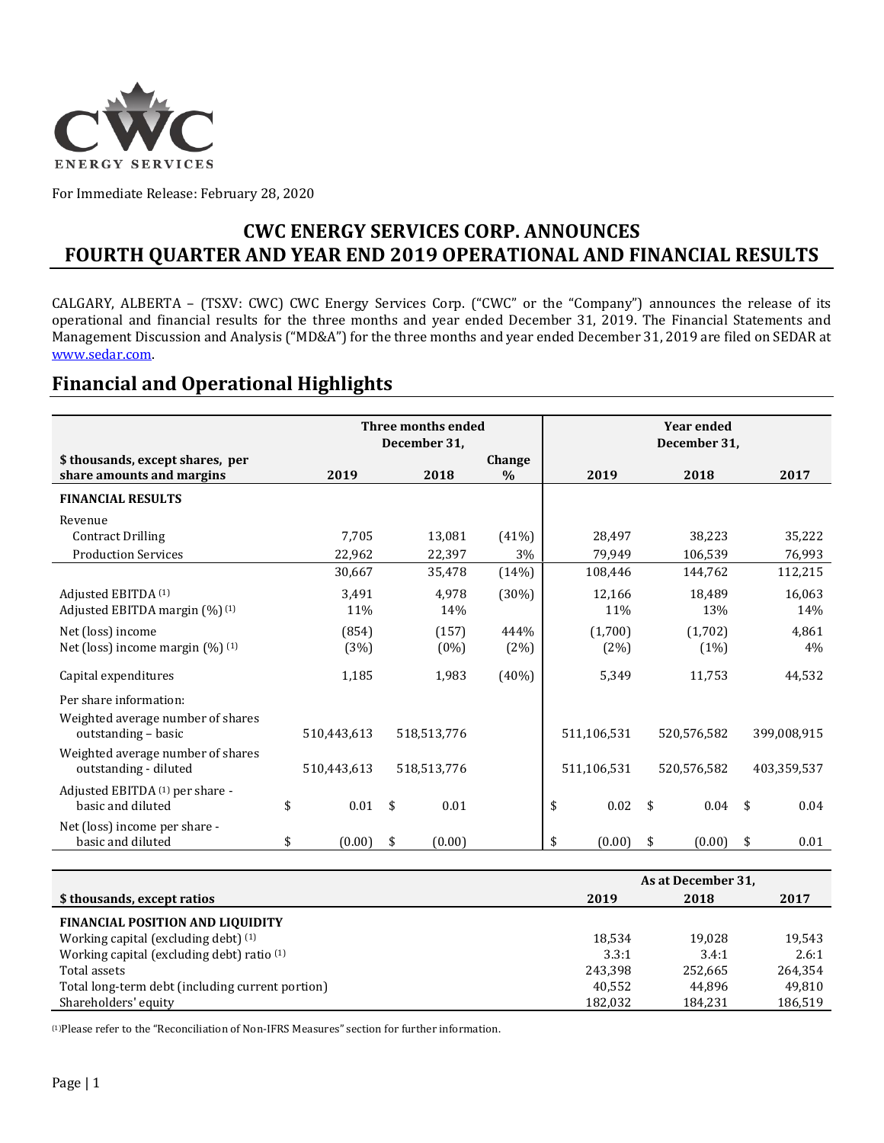

For Immediate Release: February 28, 2020

### **CWC ENERGY SERVICES CORP. ANNOUNCES FOURTH QUARTER AND YEAR END 2019 OPERATIONAL AND FINANCIAL RESULTS**

CALGARY, ALBERTA – (TSXV: CWC) CWC Energy Services Corp. ("CWC" or the "Company") announces the release of its operational and financial results for the three months and year ended December 31, 2019. The Financial Statements and Management Discussion and Analysis ("MD&A") for the three months and year ended December 31, 2019 are filed on SEDAR at [www.sedar.com.](http://www.sedar.com/)

### **Financial and Operational Highlights**

|                                                               | Three months ended<br>December 31, |             |    |             | <b>Year ended</b><br>December 31, |              |                    |             |     |             |
|---------------------------------------------------------------|------------------------------------|-------------|----|-------------|-----------------------------------|--------------|--------------------|-------------|-----|-------------|
| \$ thousands, except shares, per<br>share amounts and margins |                                    | 2019        |    | 2018        | Change<br>$\%$                    | 2019         |                    | 2018        |     | 2017        |
| <b>FINANCIAL RESULTS</b>                                      |                                    |             |    |             |                                   |              |                    |             |     |             |
| Revenue                                                       |                                    |             |    |             |                                   |              |                    |             |     |             |
| <b>Contract Drilling</b>                                      |                                    | 7,705       |    | 13,081      | (41%)                             | 28,497       |                    | 38,223      |     | 35,222      |
| <b>Production Services</b>                                    |                                    | 22,962      |    | 22,397      | 3%                                | 79,949       |                    | 106,539     |     | 76,993      |
|                                                               |                                    | 30,667      |    | 35,478      | (14%)                             | 108,446      |                    | 144,762     |     | 112,215     |
| Adjusted EBITDA (1)                                           |                                    | 3,491       |    | 4,978       | (30%)                             | 12,166       |                    | 18,489      |     | 16,063      |
| Adjusted EBITDA margin (%) (1)                                |                                    | 11%         |    | 14%         |                                   | 11%          |                    | 13%         |     | 14%         |
| Net (loss) income                                             |                                    | (854)       |    | (157)       | 444%                              | (1,700)      |                    | (1,702)     |     | 4,861       |
| Net (loss) income margin $(\%)$ (1)                           |                                    | (3%)        |    | $(0\%)$     | (2%)                              | (2%)         |                    | (1%)        |     | 4%          |
| Capital expenditures                                          |                                    | 1,185       |    | 1,983       | $(40\%)$                          | 5,349        |                    | 11,753      |     | 44,532      |
| Per share information:                                        |                                    |             |    |             |                                   |              |                    |             |     |             |
| Weighted average number of shares<br>outstanding - basic      |                                    | 510,443,613 |    | 518,513,776 |                                   | 511,106,531  |                    | 520,576,582 |     | 399,008,915 |
| Weighted average number of shares<br>outstanding - diluted    |                                    | 510,443,613 |    | 518,513,776 |                                   | 511,106,531  |                    | 520,576,582 |     | 403,359,537 |
| Adjusted EBITDA (1) per share -<br>basic and diluted          | \$                                 | 0.01        | \$ | 0.01        |                                   | \$<br>0.02   | \$                 | 0.04        | -\$ | 0.04        |
| Net (loss) income per share -<br>basic and diluted            | \$                                 | (0.00)      | \$ | (0.00)      |                                   | \$<br>(0.00) | \$                 | (0.00)      | \$  | 0.01        |
|                                                               |                                    |             |    |             |                                   |              |                    |             |     |             |
|                                                               |                                    |             |    |             |                                   |              | As at December 31, |             |     |             |
| \$ thousands, excent ratios                                   |                                    |             |    |             |                                   | 2019         |                    | 2018        |     | 2017        |

| \$ thousands, except ratios                           | 2019    | 2018    | 2017    |
|-------------------------------------------------------|---------|---------|---------|
| <b>FINANCIAL POSITION AND LIQUIDITY</b>               |         |         |         |
| Working capital (excluding debt) (1)                  | 18.534  | 19.028  | 19,543  |
| Working capital (excluding debt) ratio <sup>(1)</sup> | 3.3:1   | 3.4:1   | 2.6:1   |
| Total assets                                          | 243.398 | 252.665 | 264.354 |
| Total long-term debt (including current portion)      | 40.552  | 44.896  | 49.810  |
| Shareholders' equity                                  | 182.032 | 184.231 | 186,519 |

(1)Please refer to the "Reconciliation of Non-IFRS Measures" section for further information.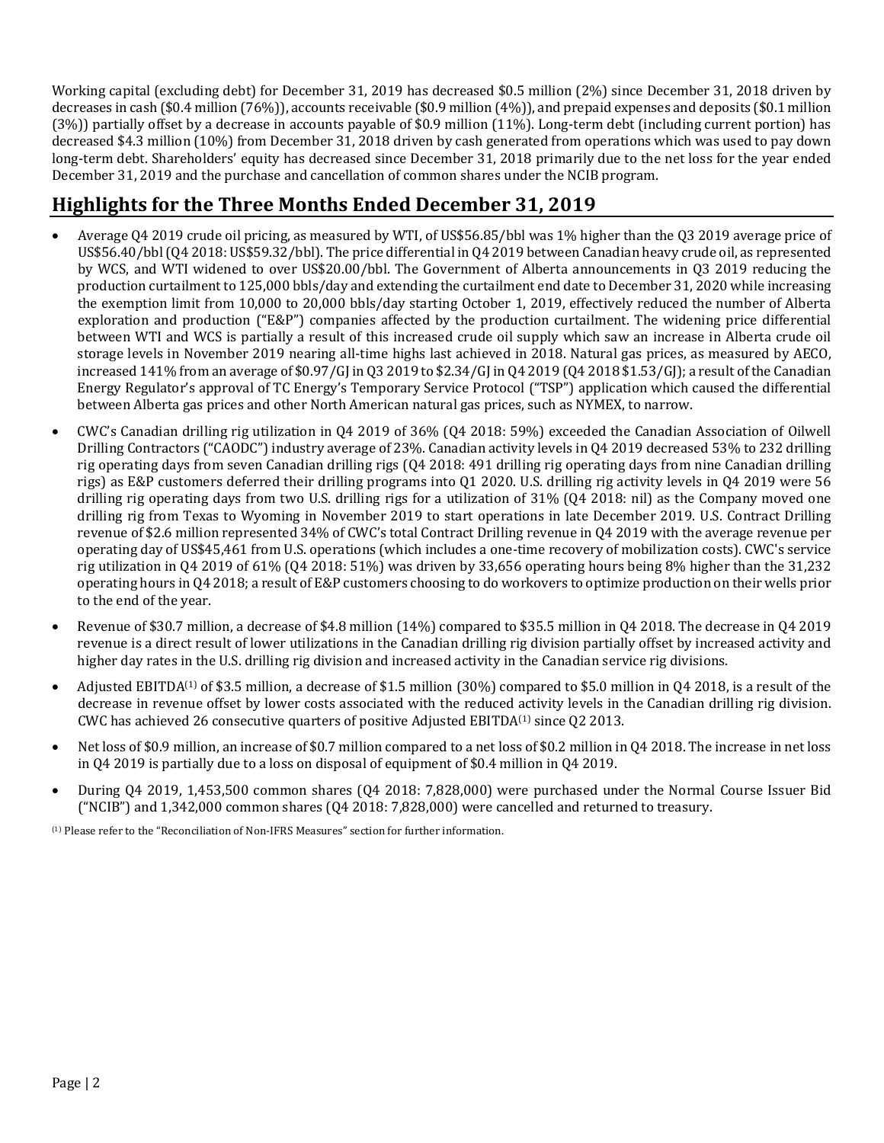Working capital (excluding debt) for December 31, 2019 has decreased \$0.5 million (2%) since December 31, 2018 driven by decreases in cash (\$0.4 million (76%)), accounts receivable (\$0.9 million (4%)), and prepaid expenses and deposits (\$0.1 million (3%)) partially offset by a decrease in accounts payable of \$0.9 million (11%). Long-term debt (including current portion) has decreased \$4.3 million (10%) from December 31, 2018 driven by cash generated from operations which was used to pay down long-term debt. Shareholders' equity has decreased since December 31, 2018 primarily due to the net loss for the year ended December 31, 2019 and the purchase and cancellation of common shares under the NCIB program.

# **Highlights for the Three Months Ended December 31, 2019**

- Average Q4 2019 crude oil pricing, as measured by WTI, of US\$56.85/bbl was 1% higher than the Q3 2019 average price of US\$56.40/bbl (Q4 2018: US\$59.32/bbl). The price differential in Q4 2019 between Canadian heavy crude oil, as represented by WCS, and WTI widened to over US\$20.00/bbl. The Government of Alberta announcements in Q3 2019 reducing the production curtailment to 125,000 bbls/day and extending the curtailment end date to December 31, 2020 while increasing the exemption limit from 10,000 to 20,000 bbls/day starting October 1, 2019, effectively reduced the number of Alberta exploration and production ("E&P") companies affected by the production curtailment. The widening price differential between WTI and WCS is partially a result of this increased crude oil supply which saw an increase in Alberta crude oil storage levels in November 2019 nearing all-time highs last achieved in 2018. Natural gas prices, as measured by AECO, increased 141% from an average of \$0.97/GJ in Q3 2019 to \$2.34/GJ in Q4 2019 (Q4 2018 \$1.53/GJ); a result of the Canadian Energy Regulator's approval of TC Energy's Temporary Service Protocol ("TSP") application which caused the differential between Alberta gas prices and other North American natural gas prices, such as NYMEX, to narrow.
- CWC's Canadian drilling rig utilization in Q4 2019 of 36% (Q4 2018: 59%) exceeded the Canadian Association of Oilwell Drilling Contractors ("CAODC") industry average of 23%. Canadian activity levels in Q4 2019 decreased 53% to 232 drilling rig operating days from seven Canadian drilling rigs (Q4 2018: 491 drilling rig operating days from nine Canadian drilling rigs) as E&P customers deferred their drilling programs into Q1 2020. U.S. drilling rig activity levels in Q4 2019 were 56 drilling rig operating days from two U.S. drilling rigs for a utilization of 31% (Q4 2018: nil) as the Company moved one drilling rig from Texas to Wyoming in November 2019 to start operations in late December 2019. U.S. Contract Drilling revenue of \$2.6 million represented 34% of CWC's total Contract Drilling revenue in Q4 2019 with the average revenue per operating day of US\$45,461 from U.S. operations (which includes a one-time recovery of mobilization costs). CWC's service rig utilization in Q4 2019 of 61% (Q4 2018: 51%) was driven by 33,656 operating hours being 8% higher than the 31,232 operating hours in Q4 2018; a result of E&P customers choosing to do workovers to optimize production on their wells prior to the end of the year.
- Revenue of \$30.7 million, a decrease of \$4.8 million (14%) compared to \$35.5 million in Q4 2018. The decrease in Q4 2019 revenue is a direct result of lower utilizations in the Canadian drilling rig division partially offset by increased activity and higher day rates in the U.S. drilling rig division and increased activity in the Canadian service rig divisions.
- Adjusted EBITDA<sup>(1)</sup> of \$3.5 million, a decrease of \$1.5 million (30%) compared to \$5.0 million in Q4 2018, is a result of the decrease in revenue offset by lower costs associated with the reduced activity levels in the Canadian drilling rig division. CWC has achieved 26 consecutive quarters of positive Adjusted EBITDA(1) since Q2 2013.
- Net loss of \$0.9 million, an increase of \$0.7 million compared to a net loss of \$0.2 million in Q4 2018. The increase in net loss in Q4 2019 is partially due to a loss on disposal of equipment of \$0.4 million in Q4 2019.
- During Q4 2019, 1,453,500 common shares (Q4 2018: 7,828,000) were purchased under the Normal Course Issuer Bid ("NCIB") and 1,342,000 common shares (Q4 2018: 7,828,000) were cancelled and returned to treasury.

(1) Please refer to the "Reconciliation of Non-IFRS Measures" section for further information.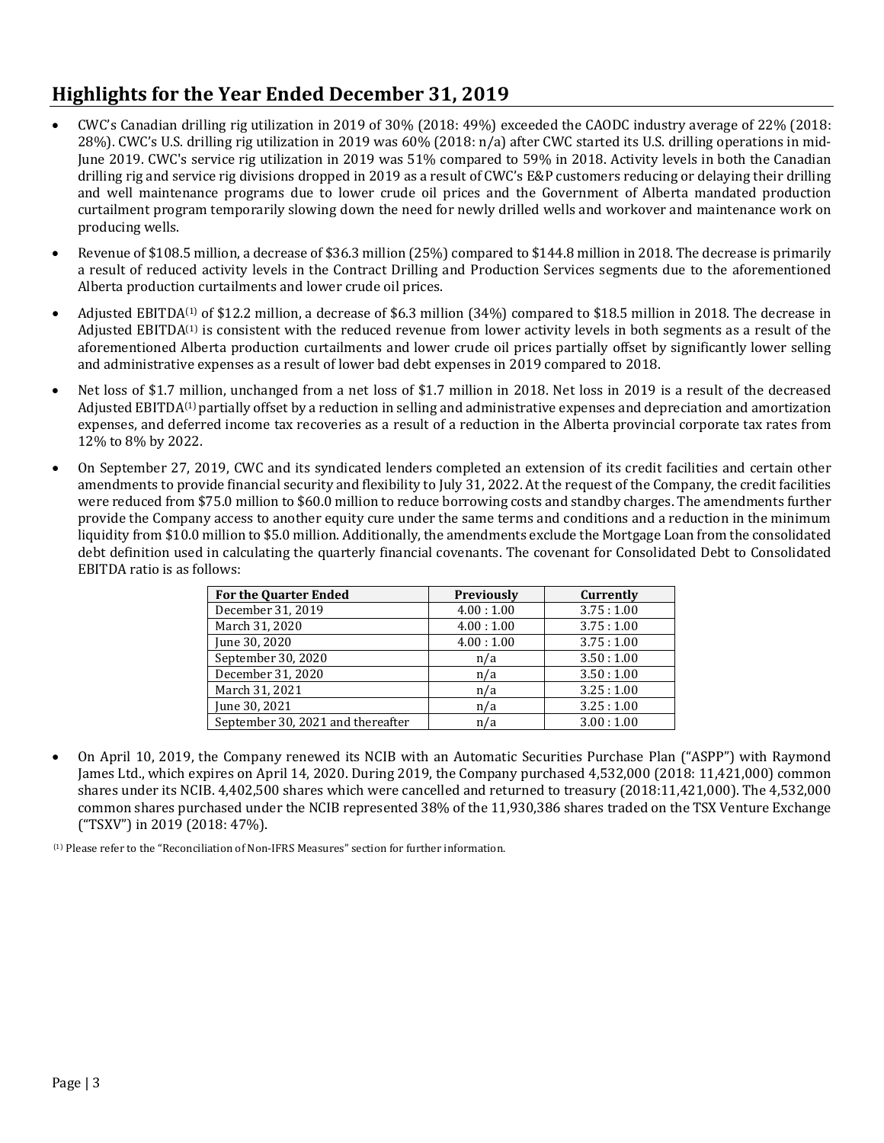# **Highlights for the Year Ended December 31, 2019**

- CWC's Canadian drilling rig utilization in 2019 of 30% (2018: 49%) exceeded the CAODC industry average of 22% (2018: 28%). CWC's U.S. drilling rig utilization in 2019 was 60% (2018: n/a) after CWC started its U.S. drilling operations in mid-June 2019. CWC's service rig utilization in 2019 was 51% compared to 59% in 2018. Activity levels in both the Canadian drilling rig and service rig divisions dropped in 2019 as a result of CWC's E&P customers reducing or delaying their drilling and well maintenance programs due to lower crude oil prices and the Government of Alberta mandated production curtailment program temporarily slowing down the need for newly drilled wells and workover and maintenance work on producing wells.
- Revenue of \$108.5 million, a decrease of \$36.3 million (25%) compared to \$144.8 million in 2018. The decrease is primarily a result of reduced activity levels in the Contract Drilling and Production Services segments due to the aforementioned Alberta production curtailments and lower crude oil prices.
- Adjusted EBITDA<sup>(1)</sup> of \$12.2 million, a decrease of \$6.3 million  $(34%)$  compared to \$18.5 million in 2018. The decrease in Adjusted EBITDA<sup>(1)</sup> is consistent with the reduced revenue from lower activity levels in both segments as a result of the aforementioned Alberta production curtailments and lower crude oil prices partially offset by significantly lower selling and administrative expenses as a result of lower bad debt expenses in 2019 compared to 2018.
- Net loss of \$1.7 million, unchanged from a net loss of \$1.7 million in 2018. Net loss in 2019 is a result of the decreased Adjusted EBITDA(1) partially offset by a reduction in selling and administrative expenses and depreciation and amortization expenses, and deferred income tax recoveries as a result of a reduction in the Alberta provincial corporate tax rates from 12% to 8% by 2022.
- On September 27, 2019, CWC and its syndicated lenders completed an extension of its credit facilities and certain other amendments to provide financial security and flexibility to July 31, 2022. At the request of the Company, the credit facilities were reduced from \$75.0 million to \$60.0 million to reduce borrowing costs and standby charges. The amendments further provide the Company access to another equity cure under the same terms and conditions and a reduction in the minimum liquidity from \$10.0 million to \$5.0 million. Additionally, the amendments exclude the Mortgage Loan from the consolidated debt definition used in calculating the quarterly financial covenants. The covenant for Consolidated Debt to Consolidated EBITDA ratio is as follows:

| <b>For the Quarter Ended</b>      | <b>Previously</b> | Currently |
|-----------------------------------|-------------------|-----------|
| December 31, 2019                 | 4.00:1.00         | 3.75:1.00 |
| March 31, 2020                    | 4.00:1.00         | 3.75:1.00 |
| June 30, 2020                     | 4.00:1.00         | 3.75:1.00 |
| September 30, 2020                | n/a               | 3.50:1.00 |
| December 31, 2020                 | n/a               | 3.50:1.00 |
| March 31, 2021                    | n/a               | 3.25:1.00 |
| June 30, 2021                     | n/a               | 3.25:1.00 |
| September 30, 2021 and thereafter | n/a               | 3.00:1.00 |

• On April 10, 2019, the Company renewed its NCIB with an Automatic Securities Purchase Plan ("ASPP") with Raymond James Ltd., which expires on April 14, 2020. During 2019, the Company purchased 4,532,000 (2018: 11,421,000) common shares under its NCIB. 4,402,500 shares which were cancelled and returned to treasury (2018:11,421,000). The 4,532,000 common shares purchased under the NCIB represented 38% of the 11,930,386 shares traded on the TSX Venture Exchange ("TSXV") in 2019 (2018: 47%).

(1) Please refer to the "Reconciliation of Non-IFRS Measures" section for further information.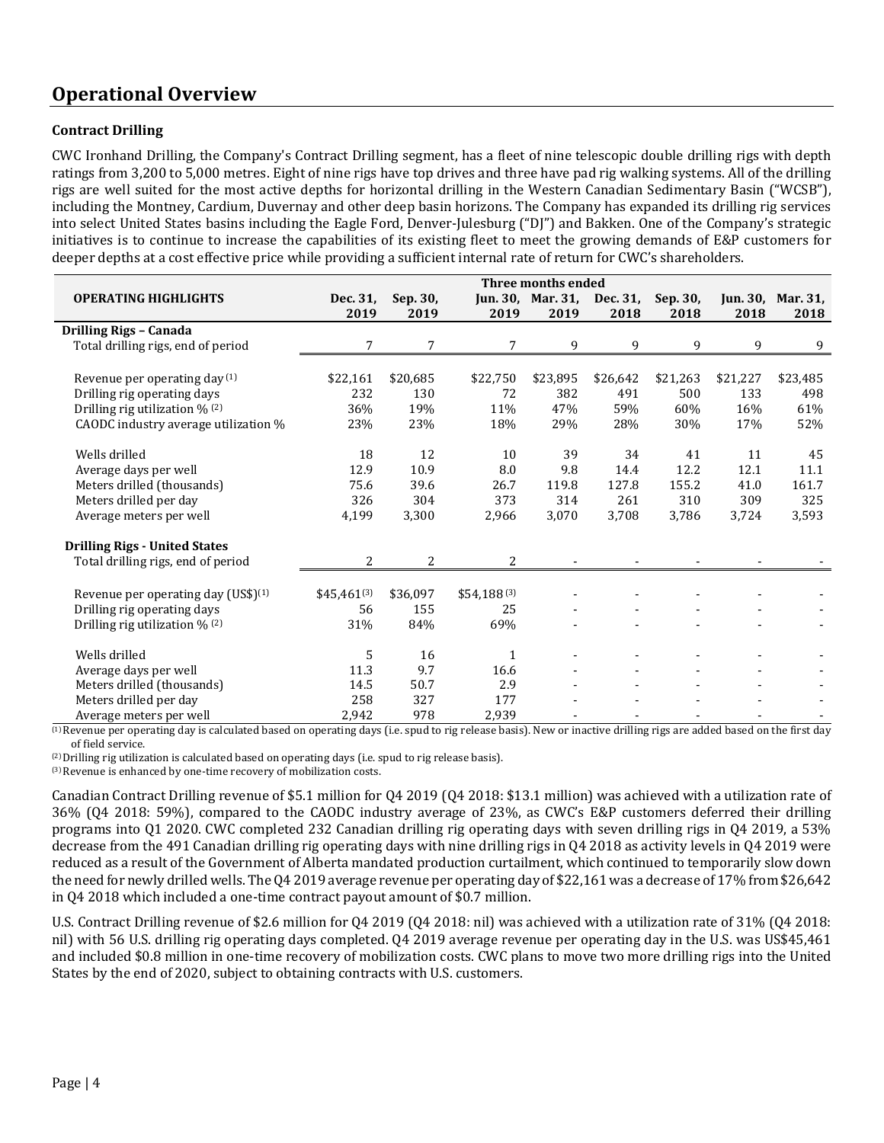## **Operational Overview**

#### **Contract Drilling**

CWC Ironhand Drilling, the Company's Contract Drilling segment, has a fleet of nine telescopic double drilling rigs with depth ratings from 3,200 to 5,000 metres. Eight of nine rigs have top drives and three have pad rig walking systems. All of the drilling rigs are well suited for the most active depths for horizontal drilling in the Western Canadian Sedimentary Basin ("WCSB"), including the Montney, Cardium, Duvernay and other deep basin horizons. The Company has expanded its drilling rig services into select United States basins including the Eagle Ford, Denver-Julesburg ("DJ") and Bakken. One of the Company's strategic initiatives is to continue to increase the capabilities of its existing fleet to meet the growing demands of E&P customers for deeper depths at a cost effective price while providing a sufficient internal rate of return for CWC's shareholders.

|                                                 | Three months ended |          |                 |                            |          |          |          |                   |  |  |
|-------------------------------------------------|--------------------|----------|-----------------|----------------------------|----------|----------|----------|-------------------|--|--|
| <b>OPERATING HIGHLIGHTS</b>                     | Dec. 31,           | Sep. 30, |                 | Jun. 30, Mar. 31, Dec. 31, |          | Sep. 30, |          | Jun. 30, Mar. 31, |  |  |
|                                                 | 2019               | 2019     | 2019            | 2019                       | 2018     | 2018     | 2018     | 2018              |  |  |
| Drilling Rigs - Canada                          |                    |          |                 |                            |          |          |          |                   |  |  |
| Total drilling rigs, end of period              | 7                  | 7        | 7               | 9                          | 9        | 9        | 9        | 9                 |  |  |
|                                                 |                    |          |                 |                            |          |          |          |                   |  |  |
| Revenue per operating day (1)                   | \$22,161           | \$20,685 | \$22,750        | \$23,895                   | \$26,642 | \$21,263 | \$21,227 | \$23,485          |  |  |
| Drilling rig operating days                     | 232                | 130      | 72              | 382                        | 491      | 500      | 133      | 498               |  |  |
| Drilling rig utilization $\%$ <sup>(2)</sup>    | 36%                | 19%      | 11%             | 47%                        | 59%      | 60%      | 16%      | 61%               |  |  |
| CAODC industry average utilization %            | 23%                | 23%      | 18%             | 29%                        | 28%      | 30%      | 17%      | 52%               |  |  |
|                                                 |                    |          |                 |                            |          |          |          |                   |  |  |
| Wells drilled                                   | 18                 | 12       | 10              | 39                         | 34       | 41       | 11       | 45                |  |  |
| Average days per well                           | 12.9               | 10.9     | 8.0             | 9.8                        | 14.4     | 12.2     | 12.1     | 11.1              |  |  |
| Meters drilled (thousands)                      | 75.6               | 39.6     | 26.7            | 119.8                      | 127.8    | 155.2    | 41.0     | 161.7             |  |  |
| Meters drilled per day                          | 326                | 304      | 373             | 314                        | 261      | 310      | 309      | 325               |  |  |
| Average meters per well                         | 4,199              | 3,300    | 2,966           | 3,070                      | 3,708    | 3,786    | 3,724    | 3,593             |  |  |
|                                                 |                    |          |                 |                            |          |          |          |                   |  |  |
| <b>Drilling Rigs - United States</b>            |                    |          |                 |                            |          |          |          |                   |  |  |
| Total drilling rigs, end of period              | 2                  | 2        | 2               |                            |          |          |          |                   |  |  |
|                                                 |                    |          |                 |                            |          |          |          |                   |  |  |
| Revenue per operating day (US\$) <sup>(1)</sup> | $$45,461^{(3)}$$   | \$36,097 | $$54,188^{(3)}$ |                            |          |          |          |                   |  |  |
| Drilling rig operating days                     | 56                 | 155      | 25              |                            |          |          |          |                   |  |  |
| Drilling rig utilization % (2)                  | 31%                | 84%      | 69%             |                            |          |          |          |                   |  |  |
|                                                 |                    |          |                 |                            |          |          |          |                   |  |  |
| Wells drilled                                   | 5                  | 16       | 1               |                            |          |          |          |                   |  |  |
| Average days per well                           | 11.3               | 9.7      | 16.6            |                            |          |          |          |                   |  |  |
| Meters drilled (thousands)                      | 14.5               | 50.7     | 2.9             |                            |          |          |          |                   |  |  |
| Meters drilled per day                          | 258                | 327      | 177             |                            |          |          |          |                   |  |  |
| Average meters per well                         | 2,942              | 978      | 2,939           |                            |          |          |          |                   |  |  |

<sup>(1)</sup> Revenue per operating day is calculated based on operating days (i.e. spud to rig release basis). New or inactive drilling rigs are added based on the first day of field service.

(2) Drilling rig utilization is calculated based on operating days (i.e. spud to rig release basis).

(3) Revenue is enhanced by one-time recovery of mobilization costs.

Canadian Contract Drilling revenue of \$5.1 million for Q4 2019 (Q4 2018: \$13.1 million) was achieved with a utilization rate of 36% (Q4 2018: 59%), compared to the CAODC industry average of 23%, as CWC's E&P customers deferred their drilling programs into Q1 2020. CWC completed 232 Canadian drilling rig operating days with seven drilling rigs in Q4 2019, a 53% decrease from the 491 Canadian drilling rig operating days with nine drilling rigs in Q4 2018 as activity levels in Q4 2019 were reduced as a result of the Government of Alberta mandated production curtailment, which continued to temporarily slow down the need for newly drilled wells. The Q4 2019 average revenue per operating day of \$22,161 was a decrease of 17% from \$26,642 in Q4 2018 which included a one-time contract payout amount of \$0.7 million.

U.S. Contract Drilling revenue of \$2.6 million for Q4 2019 (Q4 2018: nil) was achieved with a utilization rate of 31% (Q4 2018: nil) with 56 U.S. drilling rig operating days completed. Q4 2019 average revenue per operating day in the U.S. was US\$45,461 and included \$0.8 million in one-time recovery of mobilization costs. CWC plans to move two more drilling rigs into the United States by the end of 2020, subject to obtaining contracts with U.S. customers.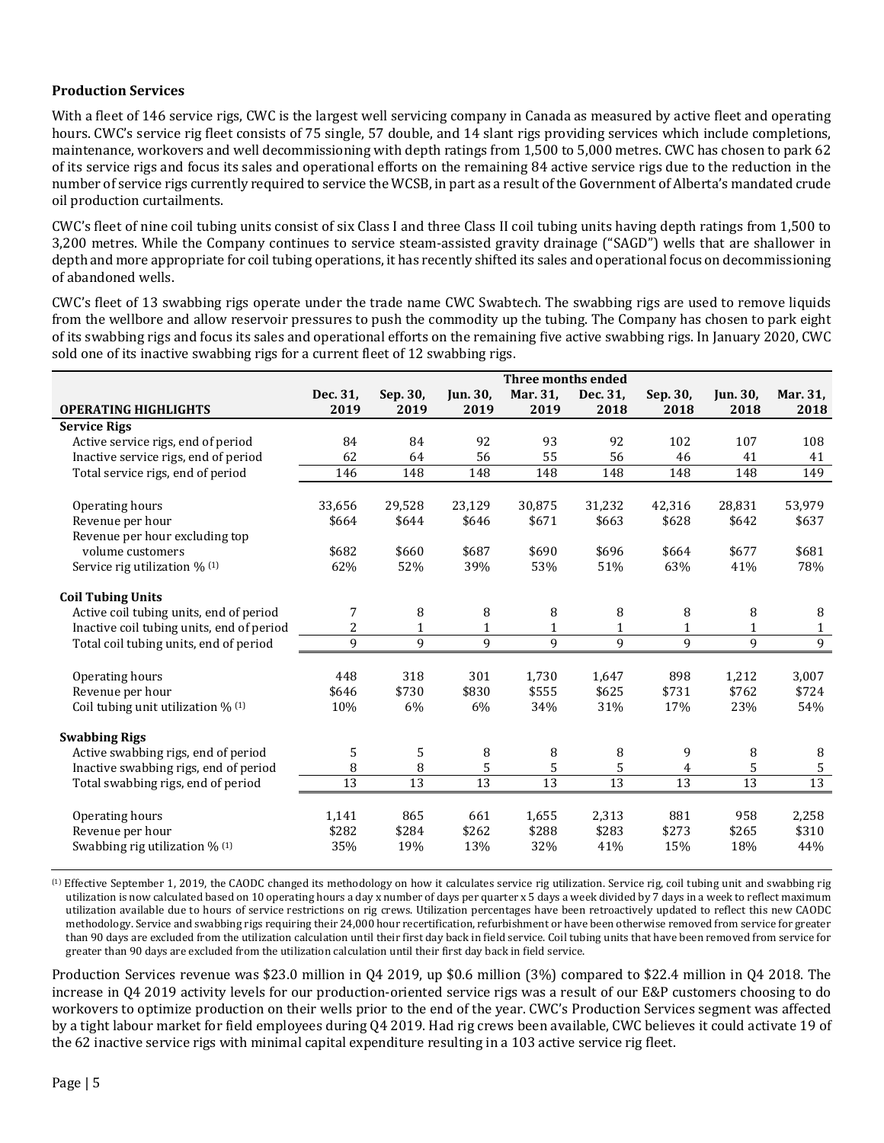#### **Production Services**

With a fleet of 146 service rigs, CWC is the largest well servicing company in Canada as measured by active fleet and operating hours. CWC's service rig fleet consists of 75 single, 57 double, and 14 slant rigs providing services which include completions, maintenance, workovers and well decommissioning with depth ratings from 1,500 to 5,000 metres. CWC has chosen to park 62 of its service rigs and focus its sales and operational efforts on the remaining 84 active service rigs due to the reduction in the number of service rigs currently required to service the WCSB, in part as a result of the Government of Alberta's mandated crude oil production curtailments.

CWC's fleet of nine coil tubing units consist of six Class I and three Class II coil tubing units having depth ratings from 1,500 to 3,200 metres. While the Company continues to service steam-assisted gravity drainage ("SAGD") wells that are shallower in depth and more appropriate for coil tubing operations, it has recently shifted its sales and operational focus on decommissioning of abandoned wells.

CWC's fleet of 13 swabbing rigs operate under the trade name CWC Swabtech. The swabbing rigs are used to remove liquids from the wellbore and allow reservoir pressures to push the commodity up the tubing. The Company has chosen to park eight of its swabbing rigs and focus its sales and operational efforts on the remaining five active swabbing rigs. In January 2020, CWC sold one of its inactive swabbing rigs for a current fleet of 12 swabbing rigs.

| Three months ended |                                                                    |                                                                    |                                                                     |                                                                                      |                                                                                    |                                                                    |                                                                               |  |
|--------------------|--------------------------------------------------------------------|--------------------------------------------------------------------|---------------------------------------------------------------------|--------------------------------------------------------------------------------------|------------------------------------------------------------------------------------|--------------------------------------------------------------------|-------------------------------------------------------------------------------|--|
| Dec. 31,           | Sep. 30,                                                           | Jun. 30,                                                           | Mar. 31,                                                            | Dec. 31,                                                                             | Sep. 30,                                                                           | <b>Jun. 30,</b>                                                    | Mar. 31,                                                                      |  |
| 2019               | 2019                                                               | 2019                                                               | 2019                                                                | 2018                                                                                 | 2018                                                                               | 2018                                                               | 2018                                                                          |  |
|                    |                                                                    |                                                                    |                                                                     |                                                                                      |                                                                                    |                                                                    |                                                                               |  |
| 84                 | 84                                                                 | 92                                                                 | 93                                                                  | 92                                                                                   | 102                                                                                | 107                                                                | 108                                                                           |  |
| 62                 | 64                                                                 |                                                                    | 55                                                                  | 56                                                                                   | 46                                                                                 | 41                                                                 | 41                                                                            |  |
| 146                | 148                                                                | 148                                                                |                                                                     |                                                                                      | 148                                                                                | 148                                                                | 149                                                                           |  |
|                    |                                                                    |                                                                    |                                                                     |                                                                                      |                                                                                    |                                                                    |                                                                               |  |
|                    |                                                                    |                                                                    |                                                                     |                                                                                      |                                                                                    |                                                                    | 53,979                                                                        |  |
|                    |                                                                    |                                                                    |                                                                     |                                                                                      |                                                                                    |                                                                    | \$637                                                                         |  |
|                    |                                                                    |                                                                    |                                                                     |                                                                                      |                                                                                    |                                                                    |                                                                               |  |
|                    |                                                                    |                                                                    |                                                                     |                                                                                      |                                                                                    |                                                                    | \$681                                                                         |  |
|                    |                                                                    |                                                                    |                                                                     |                                                                                      |                                                                                    |                                                                    | 78%                                                                           |  |
|                    |                                                                    |                                                                    |                                                                     |                                                                                      |                                                                                    |                                                                    |                                                                               |  |
|                    |                                                                    |                                                                    |                                                                     |                                                                                      |                                                                                    |                                                                    | 8                                                                             |  |
|                    |                                                                    |                                                                    |                                                                     |                                                                                      |                                                                                    |                                                                    | $\mathbf{1}$                                                                  |  |
| 9                  | 9                                                                  | $\mathbf{q}$                                                       | 9                                                                   | 9                                                                                    | 9                                                                                  | 9                                                                  | $\overline{9}$                                                                |  |
|                    |                                                                    |                                                                    |                                                                     |                                                                                      |                                                                                    |                                                                    |                                                                               |  |
| 448                | 318                                                                | 301                                                                | 1.730                                                               | 1.647                                                                                | 898                                                                                | 1,212                                                              | 3,007                                                                         |  |
| \$646              | \$730                                                              | \$830                                                              | \$555                                                               | \$625                                                                                | \$731                                                                              | \$762                                                              | \$724                                                                         |  |
| 10%                | 6%                                                                 | 6%                                                                 | 34%                                                                 | 31%                                                                                  | 17%                                                                                | 23%                                                                | 54%                                                                           |  |
|                    |                                                                    |                                                                    |                                                                     |                                                                                      |                                                                                    |                                                                    |                                                                               |  |
|                    |                                                                    |                                                                    |                                                                     |                                                                                      |                                                                                    |                                                                    | 8                                                                             |  |
|                    |                                                                    |                                                                    |                                                                     |                                                                                      |                                                                                    |                                                                    | $\mathsf S$                                                                   |  |
|                    |                                                                    |                                                                    |                                                                     |                                                                                      |                                                                                    |                                                                    | $\overline{13}$                                                               |  |
|                    |                                                                    |                                                                    |                                                                     |                                                                                      |                                                                                    |                                                                    |                                                                               |  |
|                    | 865                                                                | 661                                                                | 1,655                                                               |                                                                                      | 881                                                                                | 958                                                                | 2,258                                                                         |  |
| \$282              |                                                                    |                                                                    |                                                                     |                                                                                      |                                                                                    |                                                                    | \$310                                                                         |  |
| 35%                | 19%                                                                | 13%                                                                | 32%                                                                 | 41%                                                                                  | 15%                                                                                | 18%                                                                | 44%                                                                           |  |
|                    | 33,656<br>\$664<br>\$682<br>62%<br>7<br>2<br>5<br>8<br>13<br>1,141 | 29,528<br>\$644<br>\$660<br>52%<br>8<br>1<br>5<br>8<br>13<br>\$284 | 56<br>23,129<br>\$646<br>\$687<br>39%<br>8<br>8<br>5<br>13<br>\$262 | 148<br>30,875<br>\$671<br>\$690<br>53%<br>8<br>$\mathbf{1}$<br>8<br>5<br>13<br>\$288 | 148<br>31,232<br>\$663<br>\$696<br>51%<br>8<br>1<br>8<br>5<br>13<br>2,313<br>\$283 | 42,316<br>\$628<br>\$664<br>63%<br>8<br>1<br>9<br>4<br>13<br>\$273 | 28,831<br>\$642<br>\$677<br>41%<br>8<br>$\mathbf{1}$<br>8<br>5<br>13<br>\$265 |  |

(1) Effective September 1, 2019, the CAODC changed its methodology on how it calculates service rig utilization. Service rig, coil tubing unit and swabbing rig utilization is now calculated based on 10 operating hours a day x number of days per quarter x 5 days a week divided by 7 days in a week to reflect maximum utilization available due to hours of service restrictions on rig crews. Utilization percentages have been retroactively updated to reflect this new CAODC methodology. Service and swabbing rigs requiring their 24,000 hour recertification, refurbishment or have been otherwise removed from service for greater than 90 days are excluded from the utilization calculation until their first day back in field service. Coil tubing units that have been removed from service for greater than 90 days are excluded from the utilization calculation until their first day back in field service.

Production Services revenue was \$23.0 million in Q4 2019, up \$0.6 million (3%) compared to \$22.4 million in Q4 2018. The increase in Q4 2019 activity levels for our production-oriented service rigs was a result of our E&P customers choosing to do workovers to optimize production on their wells prior to the end of the year. CWC's Production Services segment was affected by a tight labour market for field employees during Q4 2019. Had rig crews been available, CWC believes it could activate 19 of the 62 inactive service rigs with minimal capital expenditure resulting in a 103 active service rig fleet.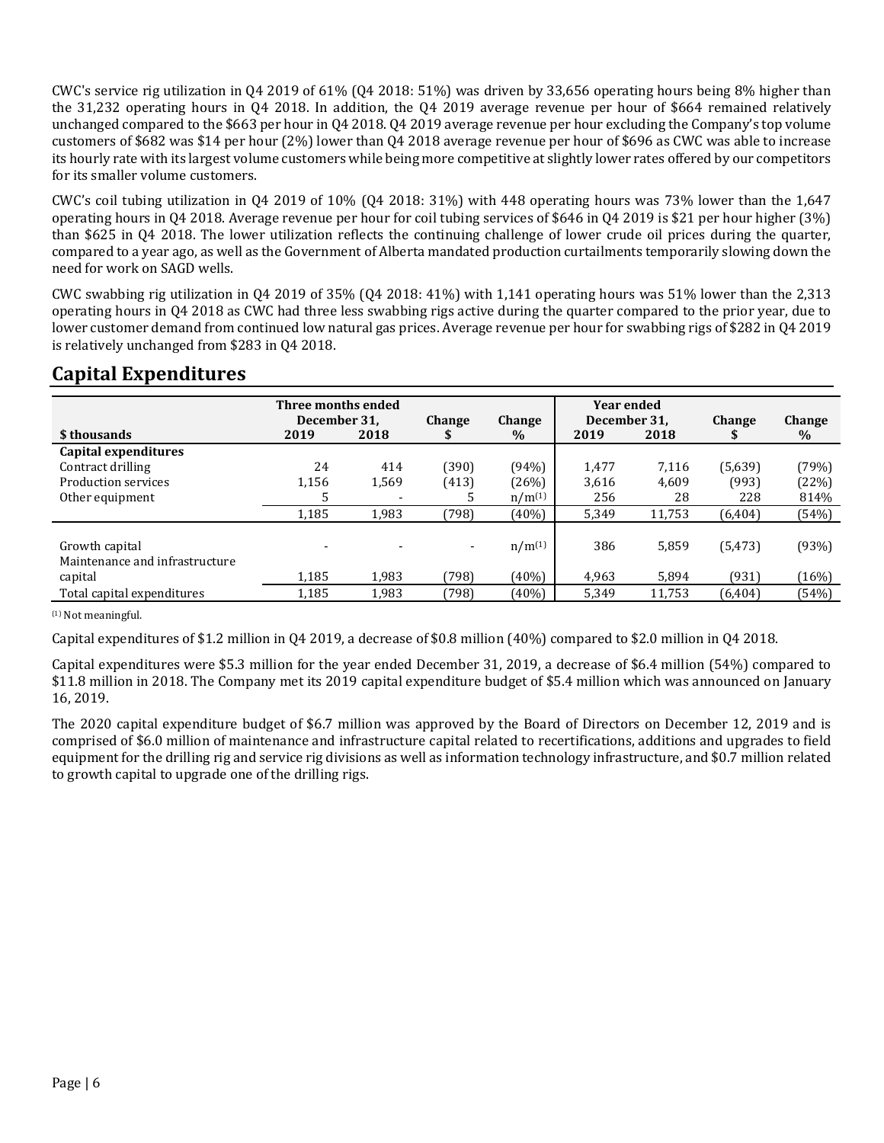CWC's service rig utilization in Q4 2019 of 61% (Q4 2018: 51%) was driven by 33,656 operating hours being 8% higher than the 31,232 operating hours in Q4 2018. In addition, the Q4 2019 average revenue per hour of \$664 remained relatively unchanged compared to the \$663 per hour in Q4 2018. Q4 2019 average revenue per hour excluding the Company's top volume customers of \$682 was \$14 per hour (2%) lower than Q4 2018 average revenue per hour of \$696 as CWC was able to increase its hourly rate with its largest volume customers while being more competitive at slightly lower rates offered by our competitors for its smaller volume customers.

CWC's coil tubing utilization in Q4 2019 of  $10\%$  (Q4 2018: 31%) with 448 operating hours was 73% lower than the 1,647 operating hours in Q4 2018. Average revenue per hour for coil tubing services of \$646 in Q4 2019 is \$21 per hour higher (3%) than \$625 in Q4 2018. The lower utilization reflects the continuing challenge of lower crude oil prices during the quarter, compared to a year ago, as well as the Government of Alberta mandated production curtailments temporarily slowing down the need for work on SAGD wells.

CWC swabbing rig utilization in Q4 2019 of 35% (Q4 2018: 41%) with 1,141 operating hours was 51% lower than the 2,313 operating hours in Q4 2018 as CWC had three less swabbing rigs active during the quarter compared to the prior year, due to lower customer demand from continued low natural gas prices. Average revenue per hour for swabbing rigs of \$282 in Q4 2019 is relatively unchanged from \$283 in Q4 2018.

### **Capital Expenditures**

|                                | Three months ended<br>December 31, |       |                          |             | <b>Year ended</b>    |        |               |        |
|--------------------------------|------------------------------------|-------|--------------------------|-------------|----------------------|--------|---------------|--------|
| \$ thousands                   | 2019                               | 2018  | <b>Change</b>            | Change      | December 31,<br>2019 | 2018   | <b>Change</b> | Change |
|                                |                                    |       |                          | $\%$        |                      |        |               | $\%$   |
| Capital expenditures           |                                    |       |                          |             |                      |        |               |        |
| Contract drilling              | 24                                 | 414   | (390)                    | (94%)       | 1.477                | 7.116  | (5,639)       | (79%)  |
| Production services            | 1,156                              | 1,569 | (413)                    | (26%)       | 3,616                | 4,609  | (993)         | (22%)  |
| Other equipment                | 5                                  |       |                          | $n/m^{(1)}$ | 256                  | 28     | 228           | 814%   |
|                                | 1,185                              | 1.983 | (798)                    | (40%)       | 5,349                | 11,753 | (6, 404)      | (54%)  |
|                                |                                    |       |                          |             |                      |        |               |        |
| Growth capital                 |                                    |       | $\overline{\phantom{a}}$ | $n/m^{(1)}$ | 386                  | 5,859  | (5, 473)      | (93%)  |
| Maintenance and infrastructure |                                    |       |                          |             |                      |        |               |        |
| capital                        | 1,185                              | 1,983 | (798)                    | (40%)       | 4,963                | 5,894  | (931)         | (16%)  |
| Total capital expenditures     | 1,185                              | 1,983 | (798)                    | (40%)       | 5,349                | 11,753 | (6, 404)      | (54%)  |

(1) Not meaningful.

Capital expenditures of \$1.2 million in Q4 2019, a decrease of \$0.8 million (40%) compared to \$2.0 million in Q4 2018.

Capital expenditures were \$5.3 million for the year ended December 31, 2019, a decrease of \$6.4 million (54%) compared to \$11.8 million in 2018. The Company met its 2019 capital expenditure budget of \$5.4 million which was announced on January 16, 2019.

The 2020 capital expenditure budget of \$6.7 million was approved by the Board of Directors on December 12, 2019 and is comprised of \$6.0 million of maintenance and infrastructure capital related to recertifications, additions and upgrades to field equipment for the drilling rig and service rig divisions as well as information technology infrastructure, and \$0.7 million related to growth capital to upgrade one of the drilling rigs.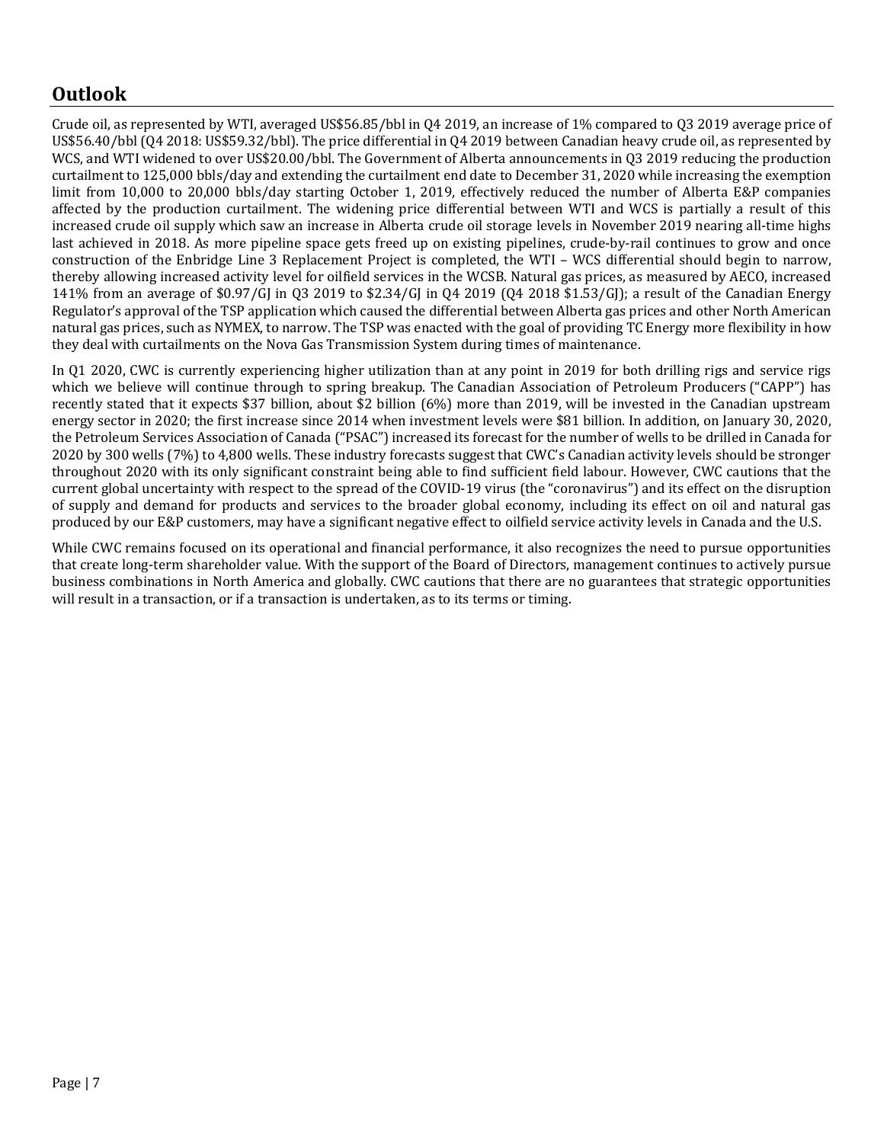### **Outlook**

Crude oil, as represented by WTI, averaged US\$56.85/bbl in Q4 2019, an increase of 1% compared to Q3 2019 average price of US\$56.40/bbl (Q4 2018: US\$59.32/bbl). The price differential in Q4 2019 between Canadian heavy crude oil, as represented by WCS, and WTI widened to over US\$20.00/bbl. The Government of Alberta announcements in Q3 2019 reducing the production curtailment to 125,000 bbls/day and extending the curtailment end date to December 31, 2020 while increasing the exemption limit from 10,000 to 20,000 bbls/day starting October 1, 2019, effectively reduced the number of Alberta E&P companies affected by the production curtailment. The widening price differential between WTI and WCS is partially a result of this increased crude oil supply which saw an increase in Alberta crude oil storage levels in November 2019 nearing all-time highs last achieved in 2018. As more pipeline space gets freed up on existing pipelines, crude-by-rail continues to grow and once construction of the Enbridge Line 3 Replacement Project is completed, the WTI – WCS differential should begin to narrow, thereby allowing increased activity level for oilfield services in the WCSB. Natural gas prices, as measured by AECO, increased 141% from an average of \$0.97/GJ in Q3 2019 to \$2.34/GJ in Q4 2019 (Q4 2018 \$1.53/GJ); a result of the Canadian Energy Regulator's approval of the TSP application which caused the differential between Alberta gas prices and other North American natural gas prices, such as NYMEX, to narrow. The TSP was enacted with the goal of providing TC Energy more flexibility in how they deal with curtailments on the Nova Gas Transmission System during times of maintenance.

In Q1 2020, CWC is currently experiencing higher utilization than at any point in 2019 for both drilling rigs and service rigs which we believe will continue through to spring breakup. The [Canadian Association of Petroleum Producers](https://globalnews.ca/tag/canadian-association-of-petroleum-producers/) ("CAPP") has recently stated that it expects \$37 billion, about \$2 billion (6%) more than 2019, will be invested in the Canadian upstream energy sector in 2020; the first increase since 2014 when investment levels were \$81 billion. In addition, on January 30, 2020, the Petroleum Services Association of Canada ("PSAC") increased its forecast for the number of wells to be drilled in Canada for 2020 by 300 wells (7%) to 4,800 wells. These industry forecasts suggest that CWC's Canadian activity levels should be stronger throughout 2020 with its only significant constraint being able to find sufficient field labour. However, CWC cautions that the current global uncertainty with respect to the spread of the COVID-19 virus (the "coronavirus") and its effect on the disruption of supply and demand for products and services to the broader global economy, including its effect on oil and natural gas produced by our E&P customers, may have a significant negative effect to oilfield service activity levels in Canada and the U.S.

While CWC remains focused on its operational and financial performance, it also recognizes the need to pursue opportunities that create long-term shareholder value. With the support of the Board of Directors, management continues to actively pursue business combinations in North America and globally. CWC cautions that there are no guarantees that strategic opportunities will result in a transaction, or if a transaction is undertaken, as to its terms or timing.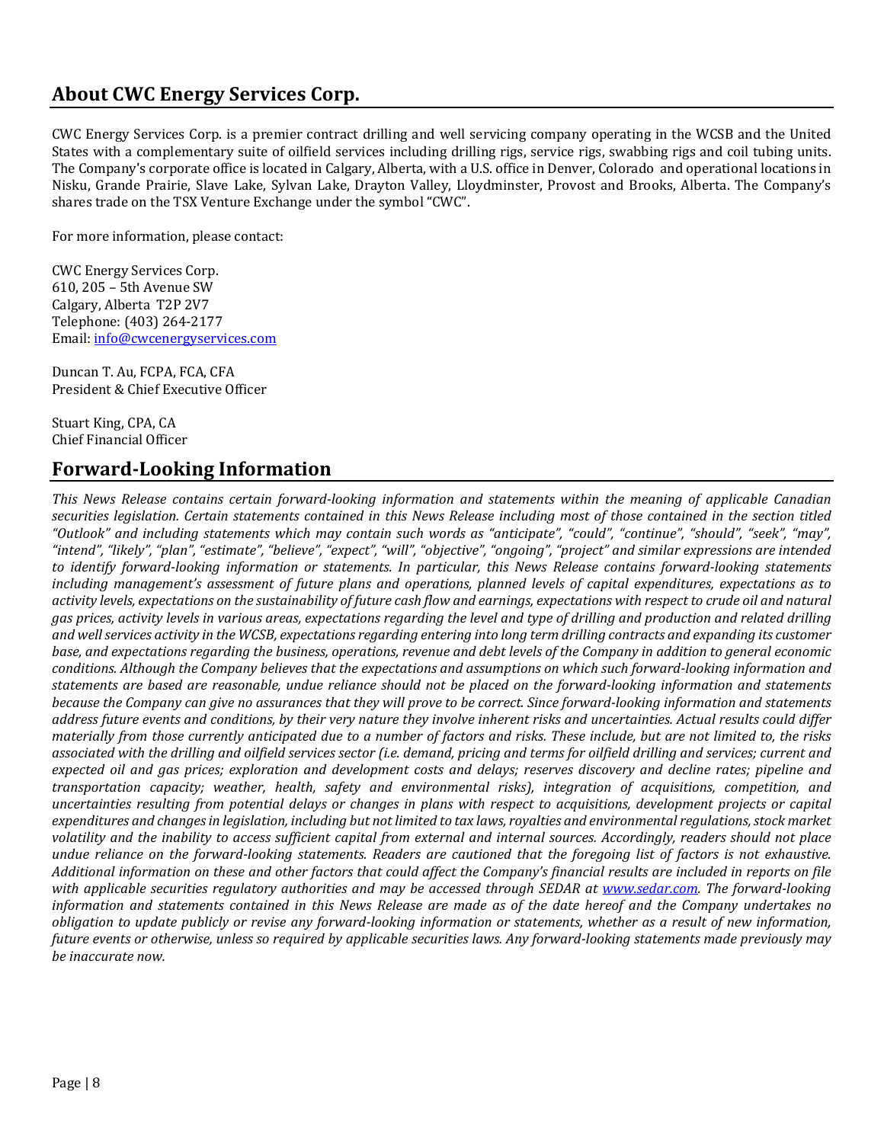### **About CWC Energy Services Corp.**

CWC Energy Services Corp. is a premier contract drilling and well servicing company operating in the WCSB and the United States with a complementary suite of oilfield services including drilling rigs, service rigs, swabbing rigs and coil tubing units. The Company's corporate office is located in Calgary, Alberta, with a U.S. office in Denver, Colorado and operational locations in Nisku, Grande Prairie, Slave Lake, Sylvan Lake, Drayton Valley, Lloydminster, Provost and Brooks, Alberta. The Company's shares trade on the TSX Venture Exchange under the symbol "CWC".

For more information, please contact:

CWC Energy Services Corp. 610, 205 – 5th Avenue SW Calgary, Alberta T2P 2V7 Telephone: (403) 264-2177 Email: [info@cwcenergyservices.com](mailto:info@cwcenergyservices.com)

Duncan T. Au, FCPA, FCA, CFA President & Chief Executive Officer

Stuart King, CPA, CA Chief Financial Officer

### **Forward-Looking Information**

*This News Release contains certain forward-looking information and statements within the meaning of applicable Canadian securities legislation. Certain statements contained in this News Release including most of those contained in the section titled "Outlook" and including statements which may contain such words as "anticipate", "could", "continue", "should", "seek", "may", "intend", "likely", "plan", "estimate", "believe", "expect", "will", "objective", "ongoing", "project" and similar expressions are intended to identify forward-looking information or statements. In particular, this News Release contains forward-looking statements including management's assessment of future plans and operations, planned levels of capital expenditures, expectations as to activity levels, expectations on the sustainability of future cash flow and earnings, expectations with respect to crude oil and natural gas prices, activity levels in various areas, expectations regarding the level and type of drilling and production and related drilling and well services activity in the WCSB, expectations regarding entering into long term drilling contracts and expanding its customer base, and expectations regarding the business, operations, revenue and debt levels of the Company in addition to general economic conditions. Although the Company believes that the expectations and assumptions on which such forward-looking information and statements are based are reasonable, undue reliance should not be placed on the forward-looking information and statements because the Company can give no assurances that they will prove to be correct. Since forward-looking information and statements address future events and conditions, by their very nature they involve inherent risks and uncertainties. Actual results could differ materially from those currently anticipated due to a number of factors and risks. These include, but are not limited to, the risks associated with the drilling and oilfield services sector (i.e. demand, pricing and terms for oilfield drilling and services; current and expected oil and gas prices; exploration and development costs and delays; reserves discovery and decline rates; pipeline and transportation capacity; weather, health, safety and environmental risks), integration of acquisitions, competition, and uncertainties resulting from potential delays or changes in plans with respect to acquisitions, development projects or capital expenditures and changes in legislation, including but not limited to tax laws, royalties and environmental regulations, stock market volatility and the inability to access sufficient capital from external and internal sources. Accordingly, readers should not place undue reliance on the forward-looking statements. Readers are cautioned that the foregoing list of factors is not exhaustive. Additional information on these and other factors that could affect the Company's financial results are included in reports on file with applicable securities regulatory authorities and may be accessed through SEDAR at [www.sedar.com.](http://www.sedar.com/) The forward-looking information and statements contained in this News Release are made as of the date hereof and the Company undertakes no obligation to update publicly or revise any forward-looking information or statements, whether as a result of new information, future events or otherwise, unless so required by applicable securities laws. Any forward-looking statements made previously may be inaccurate now.*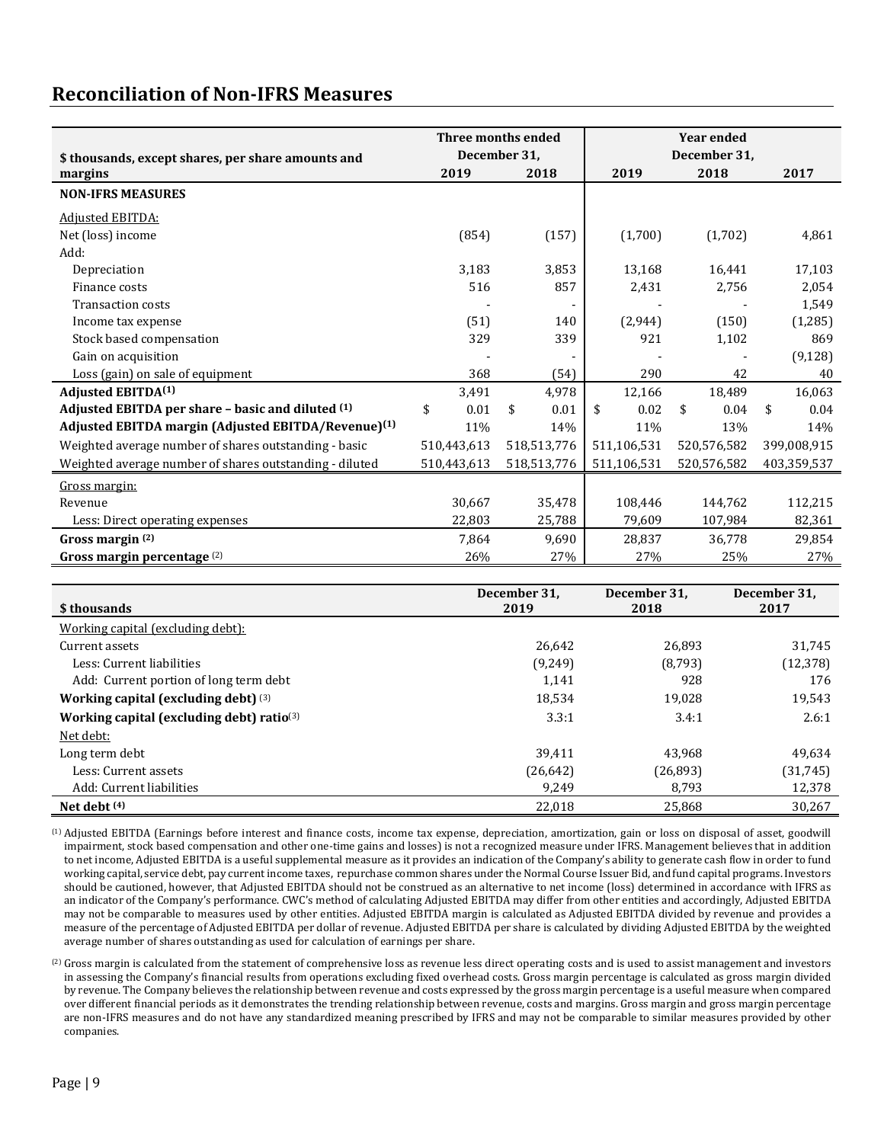### **Reconciliation of Non-IFRS Measures**

|                                                                 |             | Three months ended | <b>Year ended</b> |             |             |  |
|-----------------------------------------------------------------|-------------|--------------------|-------------------|-------------|-------------|--|
| \$ thousands, except shares, per share amounts and              |             | December 31,       | December 31,      |             |             |  |
| margins                                                         | 2019        | 2018               | 2019              | 2018        | 2017        |  |
| <b>NON-IFRS MEASURES</b>                                        |             |                    |                   |             |             |  |
| <b>Adjusted EBITDA:</b>                                         |             |                    |                   |             |             |  |
| Net (loss) income                                               | (854)       | (157)              | (1,700)           | (1,702)     | 4,861       |  |
| Add:                                                            |             |                    |                   |             |             |  |
| Depreciation                                                    | 3,183       | 3,853              | 13,168            | 16,441      | 17,103      |  |
| Finance costs                                                   | 516         | 857                | 2,431             | 2,756       | 2,054       |  |
| <b>Transaction costs</b>                                        |             |                    |                   |             | 1,549       |  |
| Income tax expense                                              | (51)        | 140                | (2,944)           | (150)       | (1, 285)    |  |
| Stock based compensation                                        | 329         | 339                | 921               | 1,102       | 869         |  |
| Gain on acquisition                                             |             |                    |                   |             | (9, 128)    |  |
| Loss (gain) on sale of equipment                                | 368         | (54)               | 290               | 42          | 40          |  |
| <b>Adjusted EBITDA(1)</b>                                       | 3.491       | 4.978              | 12,166            | 18.489      | 16.063      |  |
| Adjusted EBITDA per share - basic and diluted (1)               | \$<br>0.01  | \$<br>0.01         | \$<br>0.02        | \$<br>0.04  | \$<br>0.04  |  |
| Adjusted EBITDA margin (Adjusted EBITDA/Revenue) <sup>(1)</sup> | 11%         | 14%                | 11%               | 13%         | 14%         |  |
| Weighted average number of shares outstanding - basic           | 510,443,613 | 518,513,776        | 511,106,531       | 520,576,582 | 399,008,915 |  |
| Weighted average number of shares outstanding - diluted         | 510,443,613 | 518,513,776        | 511,106,531       | 520,576,582 | 403,359,537 |  |
| Gross margin:                                                   |             |                    |                   |             |             |  |
| Revenue                                                         | 30,667      | 35,478             | 108,446           | 144,762     | 112,215     |  |
| Less: Direct operating expenses                                 | 22,803      | 25,788             | 79,609            | 107,984     | 82,361      |  |
| Gross margin (2)                                                | 7,864       | 9,690              | 28,837            | 36,778      | 29,854      |  |
| Gross margin percentage (2)                                     | 26%         | 27%                | 27%               | 25%         | 27%         |  |

| \$ thousands                                 | December 31,<br>2019 | December 31,<br>2018 | December 31,<br>2017 |  |
|----------------------------------------------|----------------------|----------------------|----------------------|--|
| Working capital (excluding debt):            |                      |                      |                      |  |
| Current assets                               | 26,642               | 26,893               | 31,745               |  |
| Less: Current liabilities                    | (9,249)              | (8,793)              | (12, 378)            |  |
| Add: Current portion of long term debt       | 1,141                | 928                  | 176                  |  |
| Working capital (excluding debt) $(3)$       | 18.534               | 19,028               | 19,543               |  |
| Working capital (excluding debt) ratio $(3)$ | 3.3:1                | 3.4:1                | 2.6:1                |  |
| Net debt:                                    |                      |                      |                      |  |
| Long term debt                               | 39,411               | 43.968               | 49,634               |  |
| Less: Current assets                         | (26, 642)            | (26, 893)            | (31, 745)            |  |
| Add: Current liabilities                     | 9,249                | 8.793                | 12,378               |  |
| Net debt $(4)$                               | 22,018               | 25.868               | 30,267               |  |

(1) Adjusted EBITDA (Earnings before interest and finance costs, income tax expense, depreciation, amortization, gain or loss on disposal of asset, goodwill impairment, stock based compensation and other one-time gains and losses) is not a recognized measure under IFRS. Management believes that in addition to net income, Adjusted EBITDA is a useful supplemental measure as it provides an indication of the Company's ability to generate cash flow in order to fund working capital, service debt, pay current income taxes, repurchase common shares under the Normal Course Issuer Bid, and fund capital programs. Investors should be cautioned, however, that Adjusted EBITDA should not be construed as an alternative to net income (loss) determined in accordance with IFRS as an indicator of the Company's performance. CWC's method of calculating Adjusted EBITDA may differ from other entities and accordingly, Adjusted EBITDA may not be comparable to measures used by other entities. Adjusted EBITDA margin is calculated as Adjusted EBITDA divided by revenue and provides a measure of the percentage of Adjusted EBITDA per dollar of revenue. Adjusted EBITDA per share is calculated by dividing Adjusted EBITDA by the weighted average number of shares outstanding as used for calculation of earnings per share.

(2) Gross margin is calculated from the statement of comprehensive loss as revenue less direct operating costs and is used to assist management and investors in assessing the Company's financial results from operations excluding fixed overhead costs. Gross margin percentage is calculated as gross margin divided by revenue. The Company believes the relationship between revenue and costs expressed by the gross margin percentage is a useful measure when compared over different financial periods as it demonstrates the trending relationship between revenue, costs and margins. Gross margin and gross margin percentage are non-IFRS measures and do not have any standardized meaning prescribed by IFRS and may not be comparable to similar measures provided by other companies.